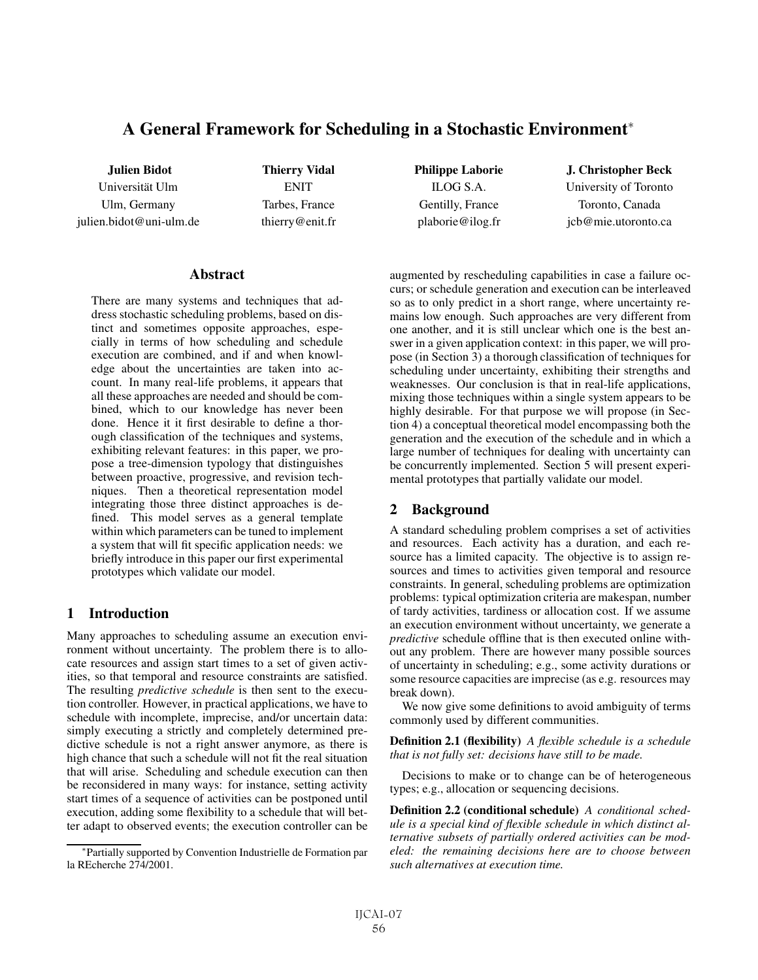# A General Framework for Scheduling in a Stochastic Environment<sup>∗</sup>

Julien Bidot Universität Ulm Ulm, Germany julien.bidot@uni-ulm.de

Thierry Vidal **ENIT** Tarbes, France thierry@enit.fr Philippe Laborie ILOG S.A. Gentilly, France plaborie@ilog.fr

J. Christopher Beck University of Toronto Toronto, Canada jcb@mie.utoronto.ca

### **Abstract**

There are many systems and techniques that address stochastic scheduling problems, based on distinct and sometimes opposite approaches, especially in terms of how scheduling and schedule execution are combined, and if and when knowledge about the uncertainties are taken into account. In many real-life problems, it appears that all these approaches are needed and should be combined, which to our knowledge has never been done. Hence it it first desirable to define a thorough classification of the techniques and systems, exhibiting relevant features: in this paper, we propose a tree-dimension typology that distinguishes between proactive, progressive, and revision techniques. Then a theoretical representation model integrating those three distinct approaches is defined. This model serves as a general template within which parameters can be tuned to implement a system that will fit specific application needs: we briefly introduce in this paper our first experimental prototypes which validate our model.

## 1 Introduction

Many approaches to scheduling assume an execution environment without uncertainty. The problem there is to allocate resources and assign start times to a set of given activities, so that temporal and resource constraints are satisfied. The resulting *predictive schedule* is then sent to the execution controller. However, in practical applications, we have to schedule with incomplete, imprecise, and/or uncertain data: simply executing a strictly and completely determined predictive schedule is not a right answer anymore, as there is high chance that such a schedule will not fit the real situation that will arise. Scheduling and schedule execution can then be reconsidered in many ways: for instance, setting activity start times of a sequence of activities can be postponed until execution, adding some flexibility to a schedule that will better adapt to observed events; the execution controller can be augmented by rescheduling capabilities in case a failure occurs; or schedule generation and execution can be interleaved so as to only predict in a short range, where uncertainty remains low enough. Such approaches are very different from one another, and it is still unclear which one is the best answer in a given application context: in this paper, we will propose (in Section 3) a thorough classification of techniques for scheduling under uncertainty, exhibiting their strengths and weaknesses. Our conclusion is that in real-life applications, mixing those techniques within a single system appears to be highly desirable. For that purpose we will propose (in Section 4) a conceptual theoretical model encompassing both the generation and the execution of the schedule and in which a large number of techniques for dealing with uncertainty can be concurrently implemented. Section 5 will present experimental prototypes that partially validate our model.

## 2 Background

A standard scheduling problem comprises a set of activities and resources. Each activity has a duration, and each resource has a limited capacity. The objective is to assign resources and times to activities given temporal and resource constraints. In general, scheduling problems are optimization problems: typical optimization criteria are makespan, number of tardy activities, tardiness or allocation cost. If we assume an execution environment without uncertainty, we generate a *predictive* schedule offline that is then executed online without any problem. There are however many possible sources of uncertainty in scheduling; e.g., some activity durations or some resource capacities are imprecise (as e.g. resources may break down).

We now give some definitions to avoid ambiguity of terms commonly used by different communities.

Definition 2.1 (flexibility) *A flexible schedule is a schedule that is not fully set: decisions have still to be made.*

Decisions to make or to change can be of heterogeneous types; e.g., allocation or sequencing decisions.

Definition 2.2 (conditional schedule) *A conditional schedule is a special kind of flexible schedule in which distinct alternative subsets of partially ordered activities can be modeled: the remaining decisions here are to choose between such alternatives at execution time.*

<sup>∗</sup>Partially supported by Convention Industrielle de Formation par la REcherche 274/2001.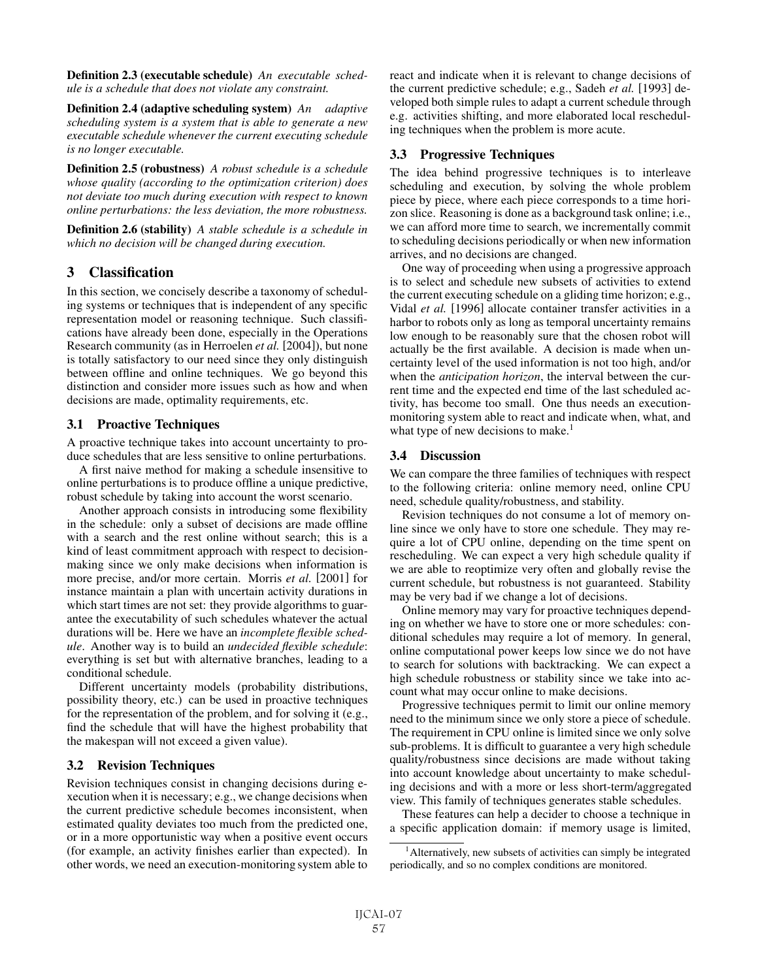Definition 2.3 (executable schedule) *An executable schedule is a schedule that does not violate any constraint.*

Definition 2.4 (adaptive scheduling system) *An adaptive scheduling system is a system that is able to generate a new executable schedule whenever the current executing schedule is no longer executable.*

Definition 2.5 (robustness) *A robust schedule is a schedule whose quality (according to the optimization criterion) does not deviate too much during execution with respect to known online perturbations: the less deviation, the more robustness.*

Definition 2.6 (stability) *A stable schedule is a schedule in which no decision will be changed during execution.*

## 3 Classification

In this section, we concisely describe a taxonomy of scheduling systems or techniques that is independent of any specific representation model or reasoning technique. Such classifications have already been done, especially in the Operations Research community (as in Herroelen *et al.* [2004]), but none is totally satisfactory to our need since they only distinguish between offline and online techniques. We go beyond this distinction and consider more issues such as how and when decisions are made, optimality requirements, etc.

#### 3.1 Proactive Techniques

A proactive technique takes into account uncertainty to produce schedules that are less sensitive to online perturbations.

A first naive method for making a schedule insensitive to online perturbations is to produce offline a unique predictive, robust schedule by taking into account the worst scenario.

Another approach consists in introducing some flexibility in the schedule: only a subset of decisions are made offline with a search and the rest online without search; this is a kind of least commitment approach with respect to decisionmaking since we only make decisions when information is more precise, and/or more certain. Morris *et al.* [2001] for instance maintain a plan with uncertain activity durations in which start times are not set: they provide algorithms to guarantee the executability of such schedules whatever the actual durations will be. Here we have an *incomplete flexible schedule*. Another way is to build an *undecided flexible schedule*: everything is set but with alternative branches, leading to a conditional schedule.

Different uncertainty models (probability distributions, possibility theory, etc.) can be used in proactive techniques for the representation of the problem, and for solving it (e.g., find the schedule that will have the highest probability that the makespan will not exceed a given value).

## 3.2 Revision Techniques

Revision techniques consist in changing decisions during execution when it is necessary; e.g., we change decisions when the current predictive schedule becomes inconsistent, when estimated quality deviates too much from the predicted one, or in a more opportunistic way when a positive event occurs (for example, an activity finishes earlier than expected). In other words, we need an execution-monitoring system able to

react and indicate when it is relevant to change decisions of the current predictive schedule; e.g., Sadeh *et al.* [1993] developed both simple rules to adapt a current schedule through e.g. activities shifting, and more elaborated local rescheduling techniques when the problem is more acute.

### 3.3 Progressive Techniques

The idea behind progressive techniques is to interleave scheduling and execution, by solving the whole problem piece by piece, where each piece corresponds to a time horizon slice. Reasoning is done as a background task online; i.e., we can afford more time to search, we incrementally commit to scheduling decisions periodically or when new information arrives, and no decisions are changed.

One way of proceeding when using a progressive approach is to select and schedule new subsets of activities to extend the current executing schedule on a gliding time horizon; e.g., Vidal *et al.* [1996] allocate container transfer activities in a harbor to robots only as long as temporal uncertainty remains low enough to be reasonably sure that the chosen robot will actually be the first available. A decision is made when uncertainty level of the used information is not too high, and/or when the *anticipation horizon*, the interval between the current time and the expected end time of the last scheduled activity, has become too small. One thus needs an executionmonitoring system able to react and indicate when, what, and what type of new decisions to make.<sup>1</sup>

## 3.4 Discussion

We can compare the three families of techniques with respect to the following criteria: online memory need, online CPU need, schedule quality/robustness, and stability.

Revision techniques do not consume a lot of memory online since we only have to store one schedule. They may require a lot of CPU online, depending on the time spent on rescheduling. We can expect a very high schedule quality if we are able to reoptimize very often and globally revise the current schedule, but robustness is not guaranteed. Stability may be very bad if we change a lot of decisions.

Online memory may vary for proactive techniques depending on whether we have to store one or more schedules: conditional schedules may require a lot of memory. In general, online computational power keeps low since we do not have to search for solutions with backtracking. We can expect a high schedule robustness or stability since we take into account what may occur online to make decisions.

Progressive techniques permit to limit our online memory need to the minimum since we only store a piece of schedule. The requirement in CPU online is limited since we only solve sub-problems. It is difficult to guarantee a very high schedule quality/robustness since decisions are made without taking into account knowledge about uncertainty to make scheduling decisions and with a more or less short-term/aggregated view. This family of techniques generates stable schedules.

These features can help a decider to choose a technique in a specific application domain: if memory usage is limited,

<sup>&</sup>lt;sup>1</sup> Alternatively, new subsets of activities can simply be integrated periodically, and so no complex conditions are monitored.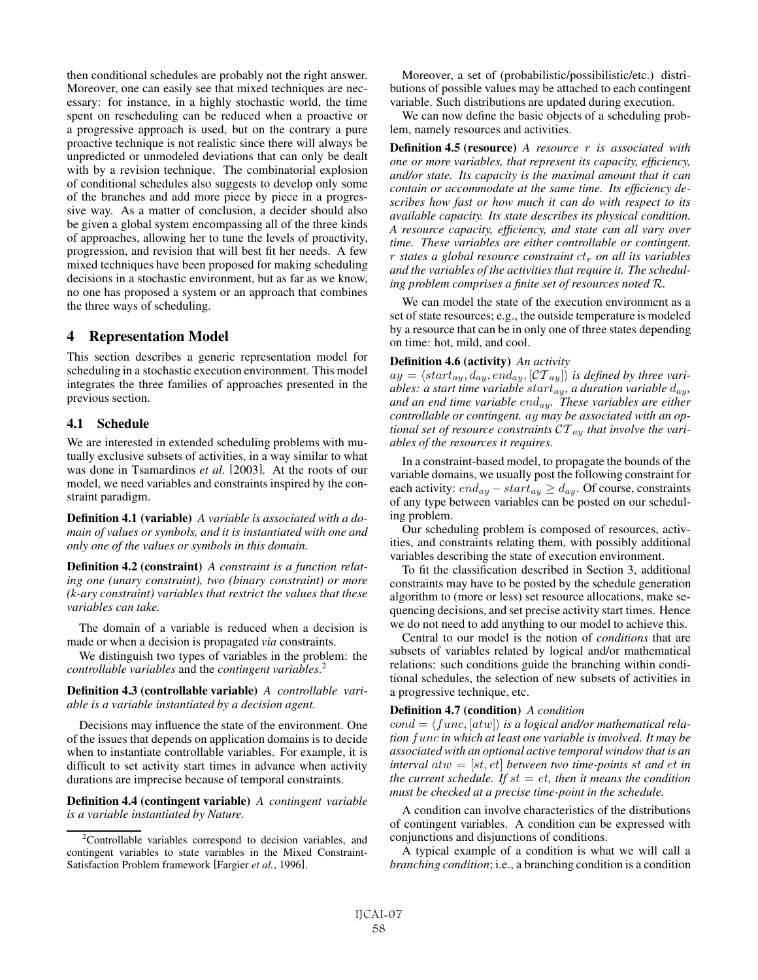then conditional schedules are probably not the right answer. Moreover, one can easily see that mixed techniques are necessary: for instance, in a highly stochastic world, the time spent on rescheduling can be reduced when a proactive or a progressive approach is used, but on the contrary a pure proactive technique is not realistic since there will always be unpredicted or unmodeled deviations that can only be dealt with by a revision technique. The combinatorial explosion of conditional schedules also suggests to develop only some of the branches and add more piece by piece in a progressive way. As a matter of conclusion, a decider should also be given a global system encompassing all of the three kinds of approaches, allowing her to tune the levels of proactivity, progression, and revision that will best fit her needs. A few mixed techniques have been proposed for making scheduling decisions in a stochastic environment, but as far as we know, no one has proposed a system or an approach that combines the three ways of scheduling.

## 4 Representation Model

This section describes a generic representation model for scheduling in a stochastic execution environment. This model integrates the three families of approaches presented in the previous section.

#### 4.1 Schedule

We are interested in extended scheduling problems with mutually exclusive subsets of activities, in a way similar to what was done in Tsamardinos *et al.* [2003]. At the roots of our model, we need variables and constraints inspired by the constraint paradigm.

Definition 4.1 (variable) *A variable is associated with a domain of values or symbols, and it is instantiated with one and only one of the values or symbols in this domain.*

Definition 4.2 (constraint) *A constraint is a function relating one (unary constraint), two (binary constraint) or more (k-ary constraint) variables that restrict the values that these variables can take.*

The domain of a variable is reduced when a decision is made or when a decision is propagated *via* constraints.

We distinguish two types of variables in the problem: the *controllable variables* and the *contingent variables*. 2

#### Definition 4.3 (controllable variable) *A controllable variable is a variable instantiated by a decision agent.*

Decisions may influence the state of the environment. One of the issues that depends on application domains is to decide when to instantiate controllable variables. For example, it is difficult to set activity start times in advance when activity durations are imprecise because of temporal constraints.

Definition 4.4 (contingent variable) *A contingent variable is a variable instantiated by Nature.*

Moreover, a set of (probabilistic/possibilistic/etc.) distributions of possible values may be attached to each contingent variable. Such distributions are updated during execution.

We can now define the basic objects of a scheduling problem, namely resources and activities.

Definition 4.5 (resource) *A resource* r *is associated with one or more variables, that represent its capacity, efficiency, and/or state. Its capacity is the maximal amount that it can contain or accommodate at the same time. Its efficiency describes how fast or how much it can do with respect to its available capacity. Its state describes its physical condition. A resource capacity, efficiency, and state can all vary over time. These variables are either controllable or contingent.* r *states a global resource constraint*  $ct_r$  *on all its variables and the variables of the activities that require it. The scheduling problem comprises a finite set of resources noted* R*.*

We can model the state of the execution environment as a set of state resources; e.g., the outside temperature is modeled by a resource that can be in only one of three states depending on time: hot, mild, and cool.

#### Definition 4.6 (activity) *An activity*

 $ay = \langle start_{ay}, d_{ay}, end_{ay}, [CT_{ay}] \rangle$  *is defined by three variables: a start time variable start*<sub>ay</sub>, *a duration variable*  $d_{ay}$ , *and an end time variable* enday*. These variables are either controllable or contingent.* ay *may be associated with an optional set of resource constraints*  $CT_{av}$  *that involve the variables of the resources it requires.*

In a constraint-based model, to propagate the bounds of the variable domains, we usually post the following constraint for each activity:  $end_{ay} - start_{ay} \ge d_{ay}$ . Of course, constraints of any type between variables can be posted on our scheduling problem.

Our scheduling problem is composed of resources, activities, and constraints relating them, with possibly additional variables describing the state of execution environment.

To fit the classification described in Section 3, additional constraints may have to be posted by the schedule generation algorithm to (more or less) set resource allocations, make sequencing decisions, and set precise activity start times. Hence we do not need to add anything to our model to achieve this.

Central to our model is the notion of *conditions* that are subsets of variables related by logical and/or mathematical relations: such conditions guide the branching within conditional schedules, the selection of new subsets of activities in a progressive technique, etc.

#### Definition 4.7 (condition) *A condition*

 $cond = \langle func, [atw] \rangle$  *is a logical and/or mathematical relation* func *in which at least one variable is involved. It may be associated with an optional active temporal window that is an interval*  $atw = [st, et]$  *between two time-points* st and  $et$  *in the current schedule. If*  $st = et$ *, then it means the condition must be checked at a precise time-point in the schedule.*

A condition can involve characteristics of the distributions of contingent variables. A condition can be expressed with conjunctions and disjunctions of conditions.

A typical example of a condition is what we will call a *branching condition*; i.e., a branching condition is a condition

<sup>&</sup>lt;sup>2</sup>Controllable variables correspond to decision variables, and contingent variables to state variables in the Mixed Constraint-Satisfaction Problem framework [Fargier *et al.*, 1996].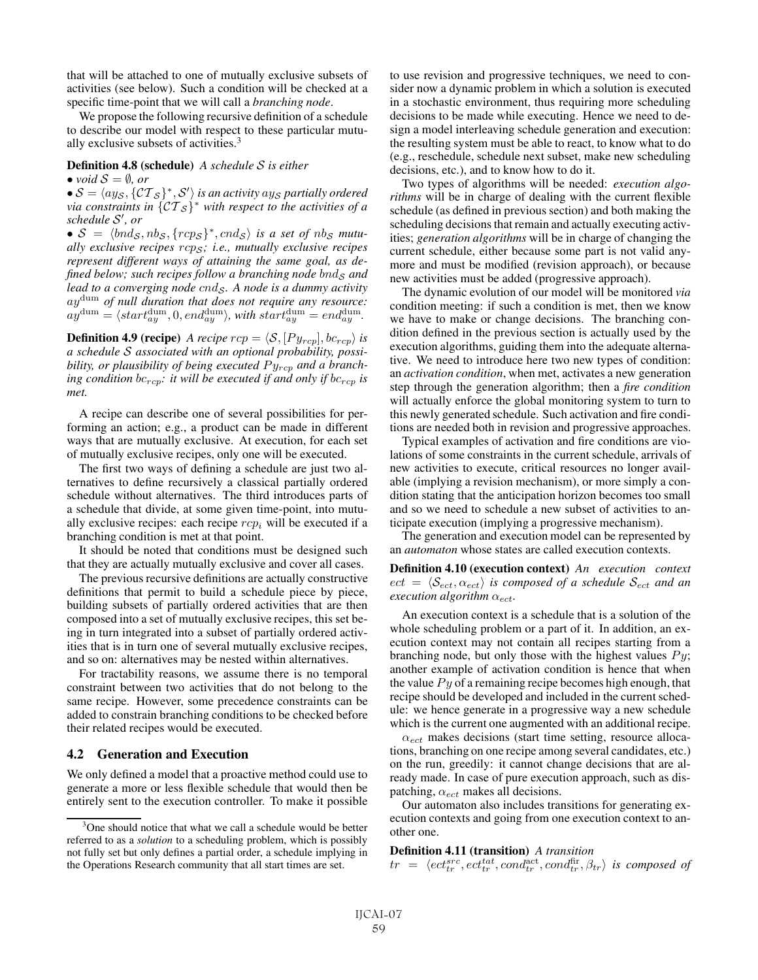that will be attached to one of mutually exclusive subsets of activities (see below). Such a condition will be checked at a specific time-point that we will call a *branching node*.

We propose the following recursive definition of a schedule to describe our model with respect to these particular mutually exclusive subsets of activities.<sup>3</sup>

Definition 4.8 (schedule) *A schedule* S *is either*

• *void*  $S = \emptyset$ *, or* 

 $\bullet$   $\mathcal{S} = \langle a y_{\mathcal{S}}, \{ \mathcal{CT}_{\mathcal{S}} \}^*, \mathcal{S}' \rangle$  is an activity  $a y_{\mathcal{S}}$  partially ordered *via constraints in*  $\{CT_{\mathcal{S}}\}^*$  *with respect to the activities of a schedule* S *, or*

•  $S = \langle bnd_S, nb_S, \{rcps\}^*, cnd_S \rangle$  *is a set of nb<sub>S</sub> mutually exclusive recipes* rcp<sup>S</sup> *; i.e., mutually exclusive recipes represent different ways of attaining the same goal, as defined below; such recipes follow a branching node bnd<sub>S</sub> and lead to a converging node cnd<sub>S</sub>. A node is a dummy activity* aydum *of null duration that does not require any resource:*  $ay^{\text{dum}} = \langle start^{\text{dum}}_{ay}, 0, end^{\text{dum}}_{ay} \rangle$ , with  $start^{\text{dum}}_{ay} = end^{\text{dum}}_{ay}$ .

**Definition 4.9 (recipe)** *A recipe*  $rep = \langle S, [Py_{rcp}], bc_{rcp} \rangle$  *is a schedule* S *associated with an optional probability, possibility, or plausibility of being executed*  $Py_{rcp}$  *and a branching condition*  $bc_{rcp}$ *: it will be executed if and only if*  $bc_{rcp}$  *is met.*

A recipe can describe one of several possibilities for performing an action; e.g., a product can be made in different ways that are mutually exclusive. At execution, for each set of mutually exclusive recipes, only one will be executed.

The first two ways of defining a schedule are just two alternatives to define recursively a classical partially ordered schedule without alternatives. The third introduces parts of a schedule that divide, at some given time-point, into mutually exclusive recipes: each recipe  $rcp_i$  will be executed if a branching condition is met at that point.

It should be noted that conditions must be designed such that they are actually mutually exclusive and cover all cases.

The previous recursive definitions are actually constructive definitions that permit to build a schedule piece by piece, building subsets of partially ordered activities that are then composed into a set of mutually exclusive recipes, this set being in turn integrated into a subset of partially ordered activities that is in turn one of several mutually exclusive recipes, and so on: alternatives may be nested within alternatives.

For tractability reasons, we assume there is no temporal constraint between two activities that do not belong to the same recipe. However, some precedence constraints can be added to constrain branching conditions to be checked before their related recipes would be executed.

## 4.2 Generation and Execution

We only defined a model that a proactive method could use to generate a more or less flexible schedule that would then be entirely sent to the execution controller. To make it possible to use revision and progressive techniques, we need to consider now a dynamic problem in which a solution is executed in a stochastic environment, thus requiring more scheduling decisions to be made while executing. Hence we need to design a model interleaving schedule generation and execution: the resulting system must be able to react, to know what to do (e.g., reschedule, schedule next subset, make new scheduling decisions, etc.), and to know how to do it.

Two types of algorithms will be needed: *execution algorithms* will be in charge of dealing with the current flexible schedule (as defined in previous section) and both making the scheduling decisions that remain and actually executing activities; *generation algorithms* will be in charge of changing the current schedule, either because some part is not valid anymore and must be modified (revision approach), or because new activities must be added (progressive approach).

The dynamic evolution of our model will be monitored *via* condition meeting: if such a condition is met, then we know we have to make or change decisions. The branching condition defined in the previous section is actually used by the execution algorithms, guiding them into the adequate alternative. We need to introduce here two new types of condition: an *activation condition*, when met, activates a new generation step through the generation algorithm; then a *fire condition* will actually enforce the global monitoring system to turn to this newly generated schedule. Such activation and fire conditions are needed both in revision and progressive approaches.

Typical examples of activation and fire conditions are violations of some constraints in the current schedule, arrivals of new activities to execute, critical resources no longer available (implying a revision mechanism), or more simply a condition stating that the anticipation horizon becomes too small and so we need to schedule a new subset of activities to anticipate execution (implying a progressive mechanism).

The generation and execution model can be represented by an *automaton* whose states are called execution contexts.

Definition 4.10 (execution context) *An execution context*  $ect = \langle \mathcal{S}_{ect}, \alpha_{ect} \rangle$  *is composed of a schedule*  $\mathcal{S}_{ect}$  *and an execution algorithm*  $\alpha_{\text{ect}}$ *.* 

An execution context is a schedule that is a solution of the whole scheduling problem or a part of it. In addition, an execution context may not contain all recipes starting from a branching node, but only those with the highest values  $Py$ ; another example of activation condition is hence that when the value  $Py$  of a remaining recipe becomes high enough, that recipe should be developed and included in the current schedule: we hence generate in a progressive way a new schedule which is the current one augmented with an additional recipe.

 $\alpha_{\text{ect}}$  makes decisions (start time setting, resource allocations, branching on one recipe among several candidates, etc.) on the run, greedily: it cannot change decisions that are already made. In case of pure execution approach, such as dispatching,  $\alpha_{ect}$  makes all decisions.

Our automaton also includes transitions for generating execution contexts and going from one execution context to another one.

#### Definition 4.11 (transition) *A transition*

 $tr = \langle ect_{tr}^{src}, ect_{tr}^{tat}, cond_{tr}^{act}, cond_{tr}^{fir}, \beta_{tr} \rangle$  is composed of

<sup>&</sup>lt;sup>3</sup>One should notice that what we call a schedule would be better referred to as a *solution* to a scheduling problem, which is possibly not fully set but only defines a partial order, a schedule implying in the Operations Research community that all start times are set.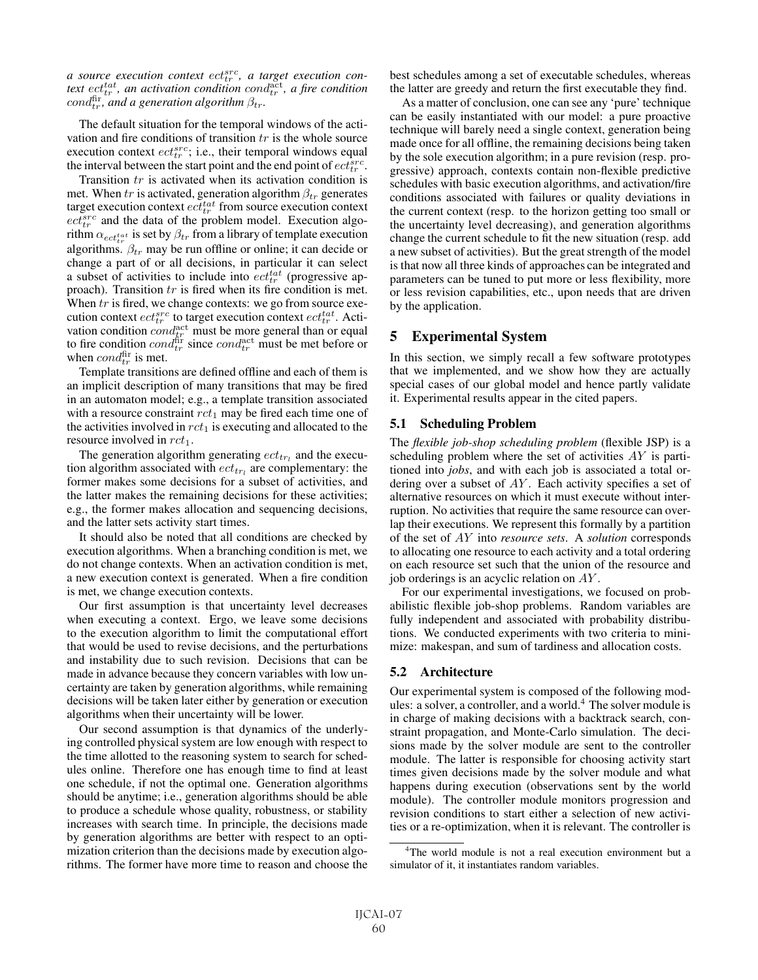a source execution context  $ect^{\operatorname{src}}_{tr}$ , a target execution context  $ect_{tr}^{tat}$ , an activation condition cond $\frac{act}{dr}$ , a fire condition  $\text{cond}_{tr}^{\text{fir}},$  and a generation algorithm  $\beta_{tr}$ .

The default situation for the temporal windows of the activation and fire conditions of transition  $tr$  is the whole source execution context  $ect_{tr}^{src}$ ; i.e., their temporal windows equal the interval between the start point and the end point of  $ect_{tr}^{src}$ .

Transition tr is activated when its activation condition is met. When tr is activated, generation algorithm  $\beta_{tr}$  generates target execution context  $ect_{tr}^{tat}$  from source execution context  $ect_{tr}^{src}$  and the data of the problem model. Execution algorithm  $\alpha_{ect_{tr}^{tat}}$  is set by  $\beta_{tr}$  from a library of template execution algorithms.  $\beta_{tr}$  may be run offline or online; it can decide or change a part of or all decisions, in particular it can select a subset of activities to include into  $ect^{tat}_{tr}$  (progressive approach). Transition tr is fired when its fire condition is met. When  $tr$  is fired, we change contexts: we go from source execution context  $ect_{tr}^{src}$  to target execution context  $ect_{tr}^{tat}$ . Activation condition  $\dot{cond}^{\text{act}}_{tr}$  must be more general than or equal to fire condition  $cond_{tr}^{\text{fir}}$  since  $cond_{tr}^{\text{act}}$  must be met before or when  $cond_{tr}^{\text{fir}}$  is met.

Template transitions are defined offline and each of them is an implicit description of many transitions that may be fired in an automaton model; e.g., a template transition associated with a resource constraint  $rct_1$  may be fired each time one of the activities involved in  $rct_1$  is executing and allocated to the resource involved in  $rct_1$ .

The generation algorithm generating  $ect_{tr_l}$  and the execution algorithm associated with  $ect_{tr_1}$  are complementary: the former makes some decisions for a subset of activities, and the latter makes the remaining decisions for these activities; e.g., the former makes allocation and sequencing decisions, and the latter sets activity start times.

It should also be noted that all conditions are checked by execution algorithms. When a branching condition is met, we do not change contexts. When an activation condition is met, a new execution context is generated. When a fire condition is met, we change execution contexts.

Our first assumption is that uncertainty level decreases when executing a context. Ergo, we leave some decisions to the execution algorithm to limit the computational effort that would be used to revise decisions, and the perturbations and instability due to such revision. Decisions that can be made in advance because they concern variables with low uncertainty are taken by generation algorithms, while remaining decisions will be taken later either by generation or execution algorithms when their uncertainty will be lower.

Our second assumption is that dynamics of the underlying controlled physical system are low enough with respect to the time allotted to the reasoning system to search for schedules online. Therefore one has enough time to find at least one schedule, if not the optimal one. Generation algorithms should be anytime; i.e., generation algorithms should be able to produce a schedule whose quality, robustness, or stability increases with search time. In principle, the decisions made by generation algorithms are better with respect to an optimization criterion than the decisions made by execution algorithms. The former have more time to reason and choose the best schedules among a set of executable schedules, whereas the latter are greedy and return the first executable they find.

As a matter of conclusion, one can see any 'pure' technique can be easily instantiated with our model: a pure proactive technique will barely need a single context, generation being made once for all offline, the remaining decisions being taken by the sole execution algorithm; in a pure revision (resp. progressive) approach, contexts contain non-flexible predictive schedules with basic execution algorithms, and activation/fire conditions associated with failures or quality deviations in the current context (resp. to the horizon getting too small or the uncertainty level decreasing), and generation algorithms change the current schedule to fit the new situation (resp. add a new subset of activities). But the great strength of the model is that now all three kinds of approaches can be integrated and parameters can be tuned to put more or less flexibility, more or less revision capabilities, etc., upon needs that are driven by the application.

## 5 Experimental System

In this section, we simply recall a few software prototypes that we implemented, and we show how they are actually special cases of our global model and hence partly validate it. Experimental results appear in the cited papers.

#### 5.1 Scheduling Problem

The *flexible job-shop scheduling problem* (flexible JSP) is a scheduling problem where the set of activities AY is partitioned into *jobs*, and with each job is associated a total ordering over a subset of  $AY$ . Each activity specifies a set of alternative resources on which it must execute without interruption. No activities that require the same resource can overlap their executions. We represent this formally by a partition of the set of AY into *resource sets*. A *solution* corresponds to allocating one resource to each activity and a total ordering on each resource set such that the union of the resource and job orderings is an acyclic relation on AY .

For our experimental investigations, we focused on probabilistic flexible job-shop problems. Random variables are fully independent and associated with probability distributions. We conducted experiments with two criteria to minimize: makespan, and sum of tardiness and allocation costs.

#### 5.2 Architecture

Our experimental system is composed of the following modules: a solver, a controller, and a world.<sup>4</sup> The solver module is in charge of making decisions with a backtrack search, constraint propagation, and Monte-Carlo simulation. The decisions made by the solver module are sent to the controller module. The latter is responsible for choosing activity start times given decisions made by the solver module and what happens during execution (observations sent by the world module). The controller module monitors progression and revision conditions to start either a selection of new activities or a re-optimization, when it is relevant. The controller is

<sup>&</sup>lt;sup>4</sup>The world module is not a real execution environment but a simulator of it, it instantiates random variables.